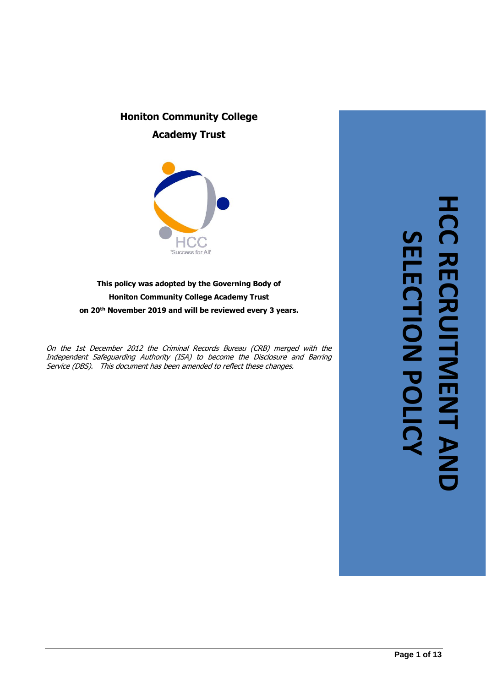# **Honiton Community College Academy Trust**



**This policy was adopted by the Governing Body of Honiton Community College Academy Trust on 20th November 2019 and will be reviewed every 3 years.**

On the 1st December 2012 the Criminal Records Bureau (CRB) merged with the Independent Safeguarding Authority (ISA) to become the Disclosure and Barring Service (DBS). This document has been amended to reflect these changes.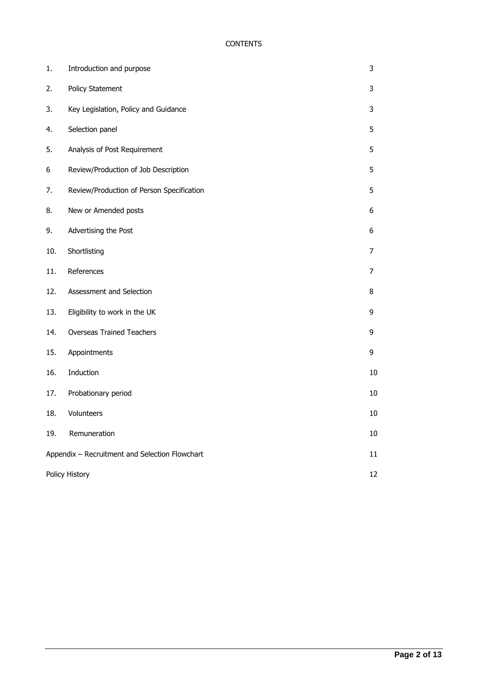# **CONTENTS**

| 1.             | Introduction and purpose                       | 3              |  |
|----------------|------------------------------------------------|----------------|--|
| 2.             | <b>Policy Statement</b>                        | 3              |  |
| 3.             | Key Legislation, Policy and Guidance           | 3              |  |
| 4.             | Selection panel                                | 5              |  |
| 5.             | Analysis of Post Requirement                   | 5              |  |
| 6              | Review/Production of Job Description           | 5              |  |
| 7.             | Review/Production of Person Specification      | 5              |  |
| 8.             | New or Amended posts                           | 6              |  |
| 9.             | Advertising the Post                           | 6              |  |
| 10.            | Shortlisting                                   | $\overline{7}$ |  |
| 11.            | References                                     | $\overline{7}$ |  |
| 12.            | Assessment and Selection                       | 8              |  |
| 13.            | Eligibility to work in the UK                  | 9              |  |
| 14.            | <b>Overseas Trained Teachers</b>               | 9              |  |
| 15.            | Appointments                                   | 9              |  |
| 16.            | Induction                                      | 10             |  |
| 17.            | Probationary period                            | 10             |  |
| 18.            | Volunteers                                     | 10             |  |
| 19.            | Remuneration                                   | 10             |  |
|                | Appendix - Recruitment and Selection Flowchart |                |  |
| Policy History |                                                |                |  |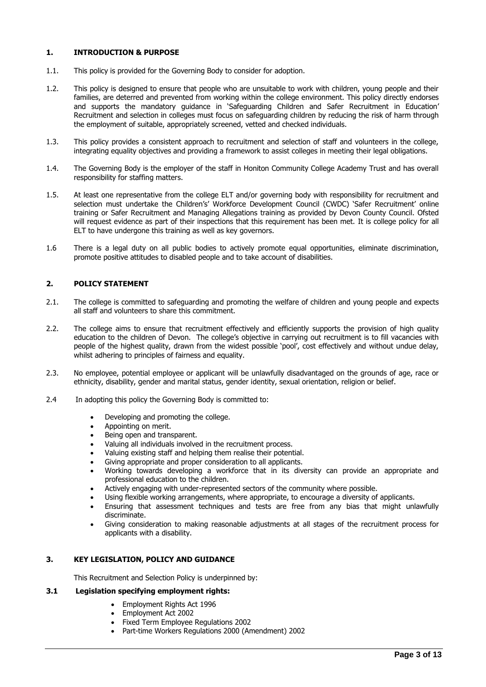#### <span id="page-2-0"></span>**1. INTRODUCTION & PURPOSE**

- 1.1. This policy is provided for the Governing Body to consider for adoption.
- 1.2. This policy is designed to ensure that people who are unsuitable to work with children, young people and their families, are deterred and prevented from working within the college environment. This policy directly endorses and supports the mandatory guidance in 'Safeguarding Children and Safer Recruitment in Education' Recruitment and selection in colleges must focus on safeguarding children by reducing the risk of harm through the employment of suitable, appropriately screened, vetted and checked individuals.
- 1.3. This policy provides a consistent approach to recruitment and selection of staff and volunteers in the college, integrating equality objectives and providing a framework to assist colleges in meeting their legal obligations.
- 1.4. The Governing Body is the employer of the staff in Honiton Community College Academy Trust and has overall responsibility for staffing matters.
- 1.5. At least one representative from the college ELT and/or governing body with responsibility for recruitment and selection must undertake the Children's' Workforce Development Council (CWDC) 'Safer Recruitment' online training or Safer Recruitment and Managing Allegations training as provided by Devon County Council. Ofsted will request evidence as part of their inspections that this requirement has been met. It is college policy for all ELT to have undergone this training as well as key governors.
- 1.6 There is a legal duty on all public bodies to actively promote equal opportunities, eliminate discrimination, promote positive attitudes to disabled people and to take account of disabilities.

# <span id="page-2-1"></span>**2. POLICY STATEMENT**

- 2.1. The college is committed to safeguarding and promoting the welfare of children and young people and expects all staff and volunteers to share this commitment.
- 2.2. The college aims to ensure that recruitment effectively and efficiently supports the provision of high quality education to the children of Devon. The college's objective in carrying out recruitment is to fill vacancies with people of the highest quality, drawn from the widest possible 'pool', cost effectively and without undue delay, whilst adhering to principles of fairness and equality.
- 2.3. No employee, potential employee or applicant will be unlawfully disadvantaged on the grounds of age, race or ethnicity, disability, gender and marital status, gender identity, sexual orientation, religion or belief.
- 2.4 In adopting this policy the Governing Body is committed to:
	- Developing and promoting the college.
	- Appointing on merit.
	- Being open and transparent.
	- Valuing all individuals involved in the recruitment process.
	- Valuing existing staff and helping them realise their potential.
	- Giving appropriate and proper consideration to all applicants.
	- Working towards developing a workforce that in its diversity can provide an appropriate and professional education to the children.
	- Actively engaging with under-represented sectors of the community where possible.
		- Using flexible working arrangements, where appropriate, to encourage a diversity of applicants.
	- Ensuring that assessment techniques and tests are free from any bias that might unlawfully discriminate.
	- Giving consideration to making reasonable adjustments at all stages of the recruitment process for applicants with a disability.

# <span id="page-2-2"></span>**3. KEY LEGISLATION, POLICY AND GUIDANCE**

This Recruitment and Selection Policy is underpinned by:

#### **3.1 Legislation specifying employment rights:**

- Employment Rights Act 1996
- Employment Act 2002
- Fixed Term Employee Regulations 2002
- Part-time Workers Regulations 2000 (Amendment) 2002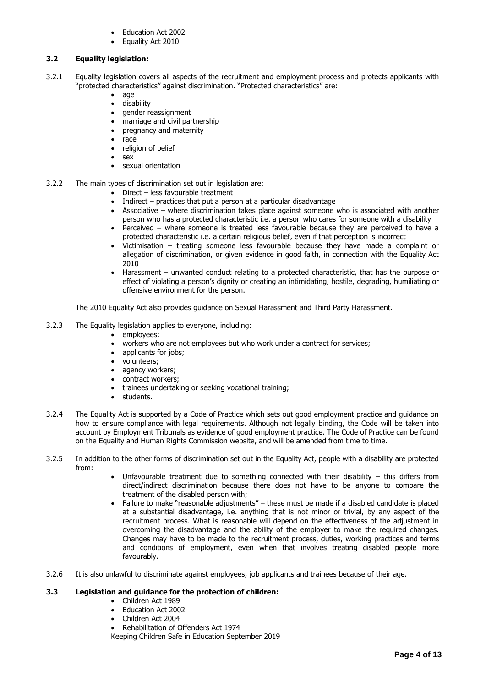- Education Act 2002
- Equality Act 2010

## **3.2 Equality legislation:**

- 3.2.1 Equality legislation covers all aspects of the recruitment and employment process and protects applicants with "protected characteristics" against discrimination. "Protected characteristics" are:
	- age
	- disability
	- gender reassignment
	- marriage and civil partnership • pregnancy and maternity
	-
	- race
	- religion of belief • sex
	-
	- sexual orientation
- 3.2.2 The main types of discrimination set out in legislation are:
	- Direct less favourable treatment
	- Indirect practices that put a person at a particular disadvantage
	- Associative where discrimination takes place against someone who is associated with another person who has a protected characteristic i.e. a person who cares for someone with a disability
	- Perceived where someone is treated less favourable because they are perceived to have a protected characteristic i.e. a certain religious belief, even if that perception is incorrect
	- Victimisation treating someone less favourable because they have made a complaint or allegation of discrimination, or given evidence in good faith, in connection with the Equality Act 2010
	- Harassment unwanted conduct relating to a protected characteristic, that has the purpose or effect of violating a person's dignity or creating an intimidating, hostile, degrading, humiliating or offensive environment for the person.

The 2010 Equality Act also provides guidance on Sexual Harassment and Third Party Harassment.

- 3.2.3 The Equality legislation applies to everyone, including:
	- employees;
	- workers who are not employees but who work under a contract for services;
	- applicants for jobs;
	- volunteers;
	- agency workers;
	- contract workers;
	- trainees undertaking or seeking vocational training;
	- students.
- 3.2.4 The Equality Act is supported by a Code of Practice which sets out good employment practice and guidance on how to ensure compliance with legal requirements. Although not legally binding, the Code will be taken into account by Employment Tribunals as evidence of good employment practice. The Code of Practice can be found on the Equality and Human Rights Commission website, and will be amended from time to time.
- 3.2.5 In addition to the other forms of discrimination set out in the Equality Act, people with a disability are protected from:
	- Unfavourable treatment due to something connected with their disability this differs from direct/indirect discrimination because there does not have to be anyone to compare the treatment of the disabled person with;
	- Failure to make "reasonable adjustments" these must be made if a disabled candidate is placed at a substantial disadvantage, i.e. anything that is not minor or trivial, by any aspect of the recruitment process. What is reasonable will depend on the effectiveness of the adjustment in overcoming the disadvantage and the ability of the employer to make the required changes. Changes may have to be made to the recruitment process, duties, working practices and terms and conditions of employment, even when that involves treating disabled people more favourably.
- 3.2.6 It is also unlawful to discriminate against employees, job applicants and trainees because of their age.

#### **3.3 Legislation and guidance for the protection of children:**

- Children Act 1989
- Education Act 2002
- Children Act 2004
- Rehabilitation of Offenders Act 1974

Keeping Children Safe in Education September 2019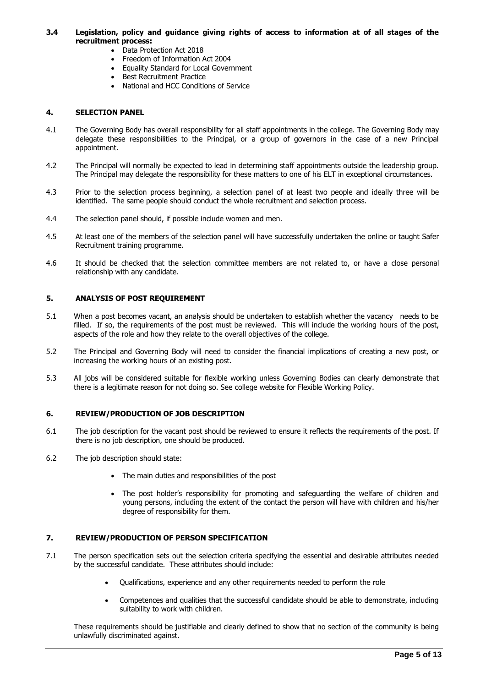#### **3.4 Legislation, policy and guidance giving rights of access to information at of all stages of the recruitment process:**

- Data Protection Act 2018
- Freedom of Information Act 2004
- Equality Standard for Local Government
- Best Recruitment Practice
- National and HCC Conditions of Service

#### **4. SELECTION PANEL**

- 4.1 The Governing Body has overall responsibility for all staff appointments in the college. The Governing Body may delegate these responsibilities to the Principal, or a group of governors in the case of a new Principal appointment.
- 4.2 The Principal will normally be expected to lead in determining staff appointments outside the leadership group. The Principal may delegate the responsibility for these matters to one of his ELT in exceptional circumstances.
- 4.3 Prior to the selection process beginning, a selection panel of at least two people and ideally three will be identified. The same people should conduct the whole recruitment and selection process.
- 4.4 The selection panel should, if possible include women and men.
- 4.5 At least one of the members of the selection panel will have successfully undertaken the online or taught Safer Recruitment training programme.
- 4.6 It should be checked that the selection committee members are not related to, or have a close personal relationship with any candidate.

## **5. ANALYSIS OF POST REQUIREMENT**

- 5.1 When a post becomes vacant, an analysis should be undertaken to establish whether the vacancy needs to be filled. If so, the requirements of the post must be reviewed. This will include the working hours of the post, aspects of the role and how they relate to the overall objectives of the college.
- 5.2 The Principal and Governing Body will need to consider the financial implications of creating a new post, or increasing the working hours of an existing post.
- 5.3 All jobs will be considered suitable for flexible working unless Governing Bodies can clearly demonstrate that there is a legitimate reason for not doing so. See college website for Flexible Working Policy.

#### **6. REVIEW/PRODUCTION OF JOB DESCRIPTION**

- 6.1 The job description for the vacant post should be reviewed to ensure it reflects the requirements of the post. If there is no job description, one should be produced.
- 6.2 The job description should state:
	- The main duties and responsibilities of the post
	- The post holder's responsibility for promoting and safeguarding the welfare of children and young persons, including the extent of the contact the person will have with children and his/her degree of responsibility for them.

#### **7. REVIEW/PRODUCTION OF PERSON SPECIFICATION**

- 7.1 The person specification sets out the selection criteria specifying the essential and desirable attributes needed by the successful candidate. These attributes should include:
	- Qualifications, experience and any other requirements needed to perform the role
	- Competences and qualities that the successful candidate should be able to demonstrate, including suitability to work with children.

These requirements should be justifiable and clearly defined to show that no section of the community is being unlawfully discriminated against.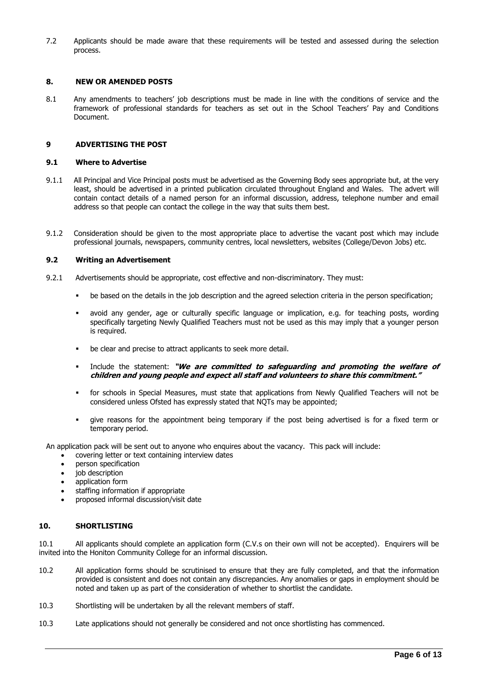7.2 Applicants should be made aware that these requirements will be tested and assessed during the selection process.

#### **8. NEW OR AMENDED POSTS**

8.1 Any amendments to teachers' job descriptions must be made in line with the conditions of service and the framework of professional standards for teachers as set out in the School Teachers' Pay and Conditions Document.

#### <span id="page-5-0"></span>**9 ADVERTISING THE POST**

#### **9.1 Where to Advertise**

- 9.1.1 All Principal and Vice Principal posts must be advertised as the Governing Body sees appropriate but, at the very least, should be advertised in a printed publication circulated throughout England and Wales. The advert will contain contact details of a named person for an informal discussion, address, telephone number and email address so that people can contact the college in the way that suits them best.
- 9.1.2 Consideration should be given to the most appropriate place to advertise the vacant post which may include professional journals, newspapers, community centres, local newsletters, websites (College/Devon Jobs) etc.

#### **9.2 Writing an Advertisement**

- 9.2.1 Advertisements should be appropriate, cost effective and non-discriminatory. They must:
	- be based on the details in the job description and the agreed selection criteria in the person specification;
	- avoid any gender, age or culturally specific language or implication, e.g. for teaching posts, wording specifically targeting Newly Qualified Teachers must not be used as this may imply that a younger person is required.
	- be clear and precise to attract applicants to seek more detail.
	- Include the statement: "We are committed to safequarding and promoting the welfare of **children and young people and expect all staff and volunteers to share this commitment."**
	- for schools in Special Measures, must state that applications from Newly Qualified Teachers will not be considered unless Ofsted has expressly stated that NQTs may be appointed;
	- give reasons for the appointment being temporary if the post being advertised is for a fixed term or temporary period.

An application pack will be sent out to anyone who enquires about the vacancy. This pack will include:

- covering letter or text containing interview dates
- person specification
- job description
- application form
- staffing information if appropriate
- proposed informal discussion/visit date

#### **10. SHORTLISTING**

10.1 All applicants should complete an application form (C.V.s on their own will not be accepted). Enquirers will be invited into the Honiton Community College for an informal discussion.

- 10.2 All application forms should be scrutinised to ensure that they are fully completed, and that the information provided is consistent and does not contain any discrepancies. Any anomalies or gaps in employment should be noted and taken up as part of the consideration of whether to shortlist the candidate.
- 10.3 Shortlisting will be undertaken by all the relevant members of staff.
- 10.3 Late applications should not generally be considered and not once shortlisting has commenced.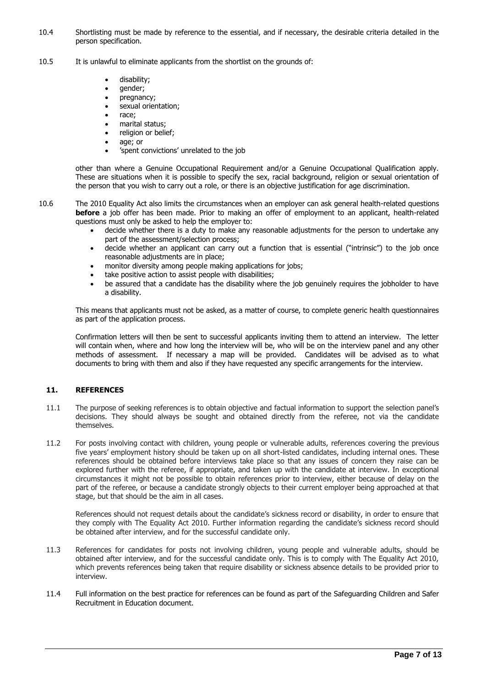- 10.4 Shortlisting must be made by reference to the essential, and if necessary, the desirable criteria detailed in the person specification.
- 10.5 It is unlawful to eliminate applicants from the shortlist on the grounds of:
	- disability;
	- gender;
	- pregnancy;
	- sexual orientation;
	- race:
	- marital status;
	- religion or belief;
	- age; or
	- 'spent convictions' unrelated to the job

other than where a Genuine Occupational Requirement and/or a Genuine Occupational Qualification apply. These are situations when it is possible to specify the sex, racial background, religion or sexual orientation of the person that you wish to carry out a role, or there is an objective justification for age discrimination.

- 10.6 The 2010 Equality Act also limits the circumstances when an employer can ask general health-related questions **before** a job offer has been made. Prior to making an offer of employment to an applicant, health-related questions must only be asked to help the employer to:
	- decide whether there is a duty to make any reasonable adjustments for the person to undertake any part of the assessment/selection process;
	- decide whether an applicant can carry out a function that is essential ("intrinsic") to the job once reasonable adjustments are in place;
	- monitor diversity among people making applications for jobs;
	- take positive action to assist people with disabilities;
	- be assured that a candidate has the disability where the job genuinely requires the jobholder to have a disability.

This means that applicants must not be asked, as a matter of course, to complete generic health questionnaires as part of the application process.

Confirmation letters will then be sent to successful applicants inviting them to attend an interview. The letter will contain when, where and how long the interview will be, who will be on the interview panel and any other methods of assessment. If necessary a map will be provided. Candidates will be advised as to what documents to bring with them and also if they have requested any specific arrangements for the interview.

# **11. REFERENCES**

- 11.1 The purpose of seeking references is to obtain objective and factual information to support the selection panel's decisions. They should always be sought and obtained directly from the referee, not via the candidate themselves.
- 11.2 For posts involving contact with children, young people or vulnerable adults, references covering the previous five years' employment history should be taken up on all short-listed candidates, including internal ones. These references should be obtained before interviews take place so that any issues of concern they raise can be explored further with the referee, if appropriate, and taken up with the candidate at interview. In exceptional circumstances it might not be possible to obtain references prior to interview, either because of delay on the part of the referee, or because a candidate strongly objects to their current employer being approached at that stage, but that should be the aim in all cases.

References should not request details about the candidate's sickness record or disability, in order to ensure that they comply with The Equality Act 2010. Further information regarding the candidate's sickness record should be obtained after interview, and for the successful candidate only.

- 11.3 References for candidates for posts not involving children, young people and vulnerable adults, should be obtained after interview, and for the successful candidate only. This is to comply with The Equality Act 2010, which prevents references being taken that require disability or sickness absence details to be provided prior to interview.
- 11.4 Full information on the best practice for references can be found as part of the Safeguarding Children and Safer Recruitment in Education document.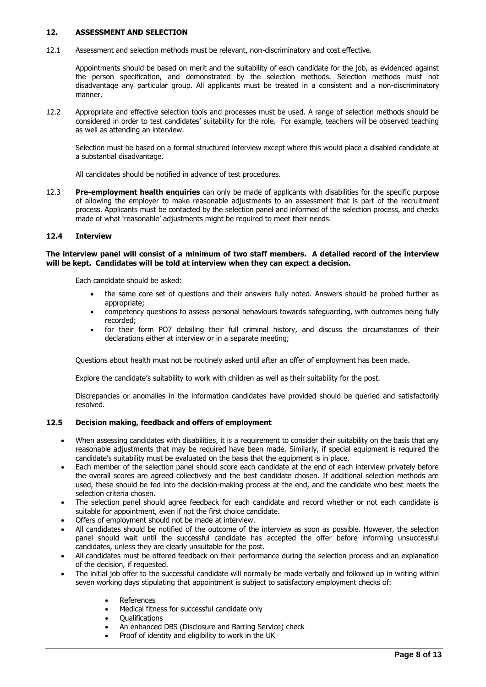#### **12. ASSESSMENT AND SELECTION**

12.1 Assessment and selection methods must be relevant, non-discriminatory and cost effective.

Appointments should be based on merit and the suitability of each candidate for the job, as evidenced against the person specification, and demonstrated by the selection methods. Selection methods must not disadvantage any particular group. All applicants must be treated in a consistent and a non-discriminatory manner.

12.2 Appropriate and effective selection tools and processes must be used. A range of selection methods should be considered in order to test candidates' suitability for the role. For example, teachers will be observed teaching as well as attending an interview.

Selection must be based on a formal structured interview except where this would place a disabled candidate at a substantial disadvantage.

All candidates should be notified in advance of test procedures.

12.3 **Pre-employment health enquiries** can only be made of applicants with disabilities for the specific purpose of allowing the employer to make reasonable adjustments to an assessment that is part of the recruitment process. Applicants must be contacted by the selection panel and informed of the selection process, and checks made of what 'reasonable' adjustments might be required to meet their needs.

#### **12.4 Interview**

#### **The interview panel will consist of a minimum of two staff members. A detailed record of the interview will be kept. Candidates will be told at interview when they can expect a decision.**

Each candidate should be asked:

- the same core set of questions and their answers fully noted. Answers should be probed further as appropriate;
- competency questions to assess personal behaviours towards safeguarding, with outcomes being fully recorded;
- for their form PO7 detailing their full criminal history, and discuss the circumstances of their declarations either at interview or in a separate meeting;

Questions about health must not be routinely asked until after an offer of employment has been made.

Explore the candidate's suitability to work with children as well as their suitability for the post.

Discrepancies or anomalies in the information candidates have provided should be queried and satisfactorily resolved.

#### **12.5 Decision making, feedback and offers of employment**

- When assessing candidates with disabilities, it is a requirement to consider their suitability on the basis that any reasonable adjustments that may be required have been made. Similarly, if special equipment is required the candidate's suitability must be evaluated on the basis that the equipment is in place.
- Each member of the selection panel should score each candidate at the end of each interview privately before the overall scores are agreed collectively and the best candidate chosen. If additional selection methods are used, these should be fed into the decision-making process at the end, and the candidate who best meets the selection criteria chosen.
- The selection panel should agree feedback for each candidate and record whether or not each candidate is suitable for appointment, even if not the first choice candidate.
- Offers of employment should not be made at interview.
- All candidates should be notified of the outcome of the interview as soon as possible. However, the selection panel should wait until the successful candidate has accepted the offer before informing unsuccessful candidates, unless they are clearly unsuitable for the post.
- All candidates must be offered feedback on their performance during the selection process and an explanation of the decision, if requested.
- The initial job offer to the successful candidate will normally be made verbally and followed up in writing within seven working days stipulating that appointment is subject to satisfactory employment checks of:
	- References
	- Medical fitness for successful candidate only
	- **Oualifications**
	- An enhanced DBS (Disclosure and Barring Service) check
	- Proof of identity and eligibility to work in the UK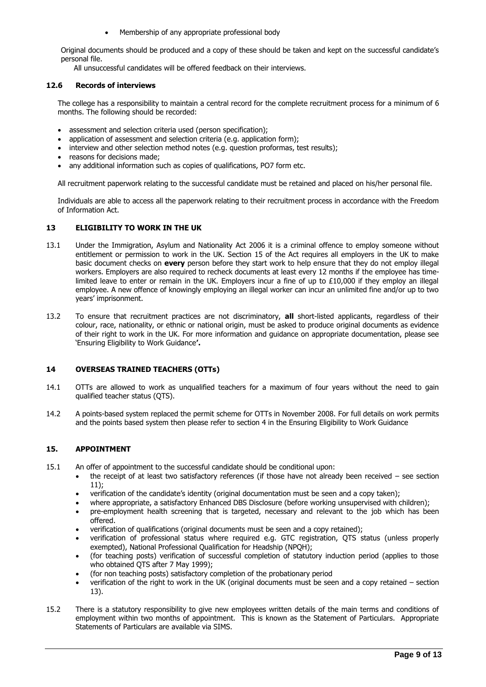• Membership of any appropriate professional body

Original documents should be produced and a copy of these should be taken and kept on the successful candidate's personal file.

All unsuccessful candidates will be offered feedback on their interviews.

#### **12.6 Records of interviews**

The college has a responsibility to maintain a central record for the complete recruitment process for a minimum of 6 months. The following should be recorded:

- assessment and selection criteria used (person specification);
- application of assessment and selection criteria (e.g. application form);
- interview and other selection method notes (e.g. question proformas, test results);
- reasons for decisions made;
- any additional information such as copies of qualifications, PO7 form etc.

All recruitment paperwork relating to the successful candidate must be retained and placed on his/her personal file.

Individuals are able to access all the paperwork relating to their recruitment process in accordance with the Freedom of Information Act.

## **13 ELIGIBILITY TO WORK IN THE UK**

- 13.1 Under the Immigration, Asylum and Nationality Act 2006 it is a criminal offence to employ someone without entitlement or permission to work in the UK. Section 15 of the Act requires all employers in the UK to make basic document checks on **every** person before they start work to help ensure that they do not employ illegal workers. Employers are also required to recheck documents at least every 12 months if the employee has timelimited leave to enter or remain in the UK. Employers incur a fine of up to £10,000 if they employ an illegal employee. A new offence of knowingly employing an illegal worker can incur an unlimited fine and/or up to two years' imprisonment.
- 13.2 To ensure that recruitment practices are not discriminatory, **all** short-listed applicants, regardless of their colour, race, nationality, or ethnic or national origin, must be asked to produce original documents as evidence of their right to work in the UK. For more information and guidance on appropriate documentation, please see 'Ensuring Eligibility to Work Guidance**'.**

#### **14 OVERSEAS TRAINED TEACHERS (OTTs)**

- 14.1 OTTs are allowed to work as unqualified teachers for a maximum of four years without the need to gain qualified teacher status (QTS).
- 14.2 A points-based system replaced the permit scheme for OTTs in November 2008. For full details on work permits and the points based system then please refer to section 4 in the Ensuring Eligibility to Work Guidance

#### <span id="page-8-0"></span>**15. APPOINTMENT**

- 15.1 An offer of appointment to the successful candidate should be conditional upon:
	- the receipt of at least two satisfactory references (if those have not already been received see section 11);
	- verification of the candidate's identity (original documentation must be seen and a copy taken);
	- where appropriate, a satisfactory Enhanced DBS Disclosure (before working unsupervised with children); • pre-employment health screening that is targeted, necessary and relevant to the job which has been
	- offered. • verification of qualifications (original documents must be seen and a copy retained);
	- verification of professional status where required e.g. GTC registration, QTS status (unless properly exempted), National Professional Qualification for Headship (NPQH);
	- (for teaching posts) verification of successful completion of statutory induction period (applies to those who obtained QTS after 7 May 1999);
	- (for non teaching posts) satisfactory completion of the probationary period
	- verification of the right to work in the UK (original documents must be seen and a copy retained section 13).
- 15.2 There is a statutory responsibility to give new employees written details of the main terms and conditions of employment within two months of appointment. This is known as the Statement of Particulars. Appropriate Statements of Particulars are available via SIMS.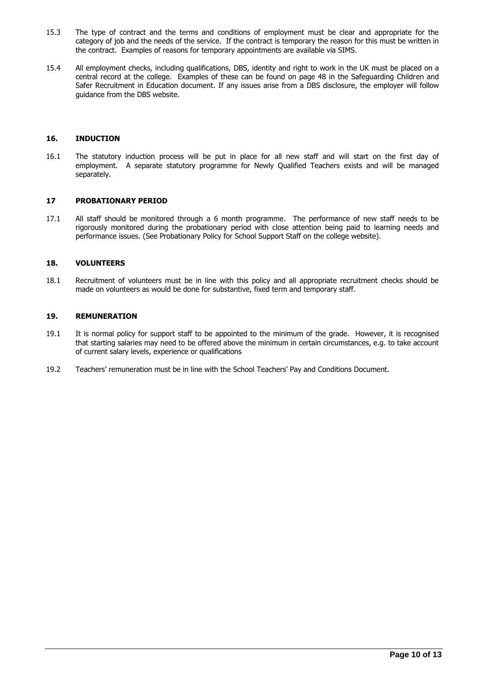- 15.3 The type of contract and the terms and conditions of employment must be clear and appropriate for the category of job and the needs of the service. If the contract is temporary the reason for this must be written in the contract. Examples of reasons for temporary appointments are available via SIMS.
- 15.4 All employment checks, including qualifications, DBS, identity and right to work in the UK must be placed on a central record at the college. Examples of these can be found on page 48 in the Safeguarding Children and Safer Recruitment in Education document. If any issues arise from a DBS disclosure, the employer will follow guidance from the DBS website.

# **16. INDUCTION**

16.1 The statutory induction process will be put in place for all new staff and will start on the first day of employment. A separate statutory programme for Newly Qualified Teachers exists and will be managed separately.

#### **17 PROBATIONARY PERIOD**

17.1 All staff should be monitored through a 6 month programme. The performance of new staff needs to be rigorously monitored during the probationary period with close attention being paid to learning needs and performance issues. (See Probationary Policy for School Support Staff on the college website).

#### <span id="page-9-0"></span>**18. VOLUNTEERS**

18.1 Recruitment of volunteers must be in line with this policy and all appropriate recruitment checks should be made on volunteers as would be done for substantive, fixed term and temporary staff.

#### **19. REMUNERATION**

- 19.1 It is normal policy for support staff to be appointed to the minimum of the grade. However, it is recognised that starting salaries may need to be offered above the minimum in certain circumstances, e.g. to take account of current salary levels, experience or qualifications
- 19.2 Teachers' remuneration must be in line with the School Teachers' Pay and Conditions Document.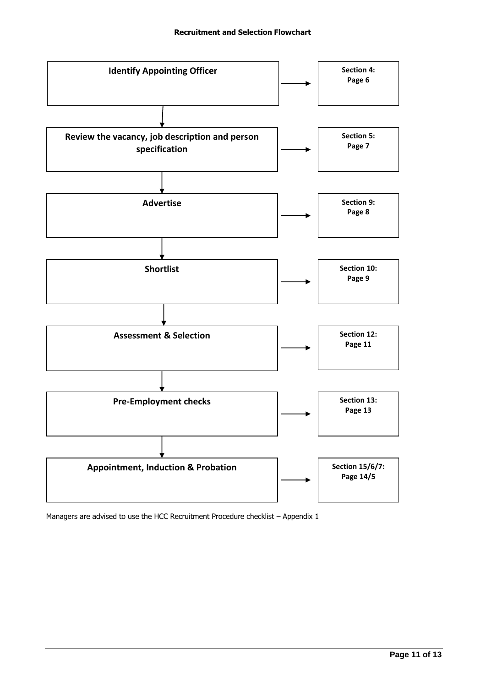

Managers are advised to use the HCC Recruitment Procedure checklist – Appendix 1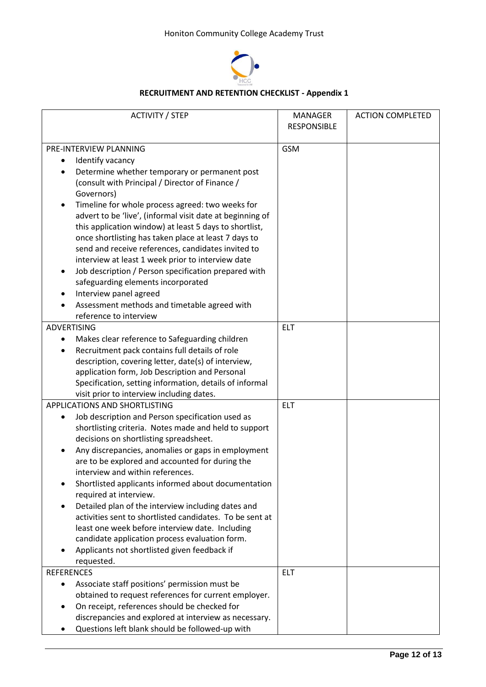

# **RECRUITMENT AND RETENTION CHECKLIST - Appendix 1**

| <b>ACTIVITY / STEP</b>                                    | <b>MANAGER</b>     | <b>ACTION COMPLETED</b> |
|-----------------------------------------------------------|--------------------|-------------------------|
|                                                           | <b>RESPONSIBLE</b> |                         |
|                                                           |                    |                         |
| PRE-INTERVIEW PLANNING                                    | <b>GSM</b>         |                         |
| Identify vacancy<br>٠                                     |                    |                         |
| Determine whether temporary or permanent post             |                    |                         |
| (consult with Principal / Director of Finance /           |                    |                         |
| Governors)                                                |                    |                         |
| Timeline for whole process agreed: two weeks for          |                    |                         |
| advert to be 'live', (informal visit date at beginning of |                    |                         |
| this application window) at least 5 days to shortlist,    |                    |                         |
| once shortlisting has taken place at least 7 days to      |                    |                         |
| send and receive references, candidates invited to        |                    |                         |
| interview at least 1 week prior to interview date         |                    |                         |
| Job description / Person specification prepared with<br>٠ |                    |                         |
| safeguarding elements incorporated                        |                    |                         |
| Interview panel agreed                                    |                    |                         |
|                                                           |                    |                         |
| Assessment methods and timetable agreed with              |                    |                         |
| reference to interview                                    |                    |                         |
| <b>ADVERTISING</b>                                        | <b>ELT</b>         |                         |
| Makes clear reference to Safeguarding children<br>٠       |                    |                         |
| Recruitment pack contains full details of role<br>٠       |                    |                         |
| description, covering letter, date(s) of interview,       |                    |                         |
| application form, Job Description and Personal            |                    |                         |
| Specification, setting information, details of informal   |                    |                         |
| visit prior to interview including dates.                 |                    |                         |
| APPLICATIONS AND SHORTLISTING                             | <b>ELT</b>         |                         |
| Job description and Person specification used as          |                    |                         |
| shortlisting criteria. Notes made and held to support     |                    |                         |
| decisions on shortlisting spreadsheet.                    |                    |                         |
| Any discrepancies, anomalies or gaps in employment        |                    |                         |
| are to be explored and accounted for during the           |                    |                         |
| interview and within references.                          |                    |                         |
| Shortlisted applicants informed about documentation       |                    |                         |
| required at interview.                                    |                    |                         |
| Detailed plan of the interview including dates and        |                    |                         |
| activities sent to shortlisted candidates. To be sent at  |                    |                         |
| least one week before interview date. Including           |                    |                         |
| candidate application process evaluation form.            |                    |                         |
| Applicants not shortlisted given feedback if              |                    |                         |
| requested.                                                |                    |                         |
| <b>REFERENCES</b>                                         | <b>ELT</b>         |                         |
| Associate staff positions' permission must be             |                    |                         |
| obtained to request references for current employer.      |                    |                         |
| On receipt, references should be checked for              |                    |                         |
| discrepancies and explored at interview as necessary.     |                    |                         |
| Questions left blank should be followed-up with           |                    |                         |